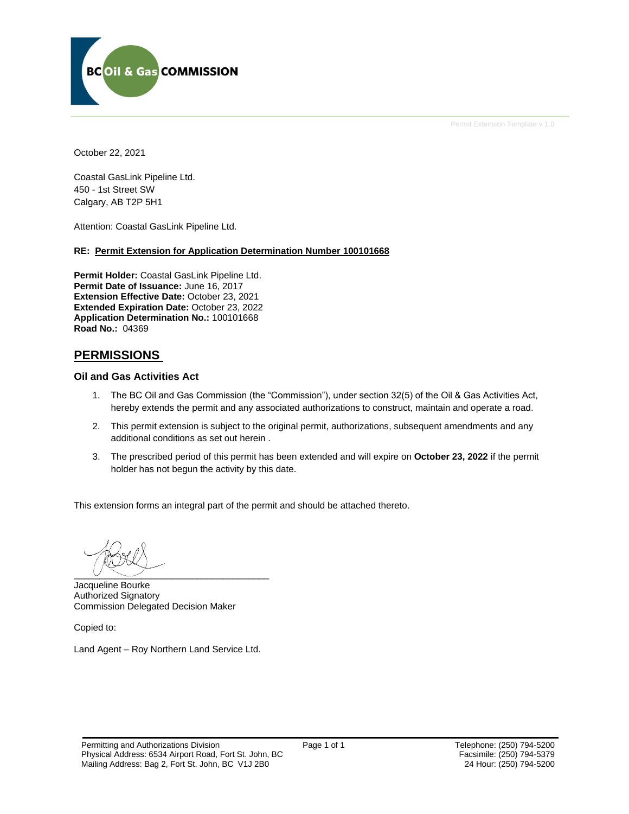

October 22, 2021

Coastal GasLink Pipeline Ltd. 450 - 1st Street SW Calgary, AB T2P 5H1

Attention: Coastal GasLink Pipeline Ltd.

#### **RE: Permit Extension for Application Determination Number 100101668**

**Permit Holder:** Coastal GasLink Pipeline Ltd. **Permit Date of Issuance:** June 16, 2017 **Extension Effective Date:** October 23, 2021 **Extended Expiration Date:** October 23, 2022 **Application Determination No.:** 100101668 **Road No.:** 04369

## **PERMISSIONS**

#### **Oil and Gas Activities Act**

- 1. The BC Oil and Gas Commission (the "Commission"), under section 32(5) of the Oil & Gas Activities Act, hereby extends the permit and any associated authorizations to construct, maintain and operate a road.
- 2. This permit extension is subject to the original permit, authorizations, subsequent amendments and any additional conditions as set out herein .
- 3. The prescribed period of this permit has been extended and will expire on **October 23, 2022** if the permit holder has not begun the activity by this date.

This extension forms an integral part of the permit and should be attached thereto.

 $\overline{\phantom{a}}$   $\overline{\phantom{a}}$   $\overline{\phantom{a}}$   $\overline{\phantom{a}}$   $\overline{\phantom{a}}$   $\overline{\phantom{a}}$   $\overline{\phantom{a}}$   $\overline{\phantom{a}}$   $\overline{\phantom{a}}$   $\overline{\phantom{a}}$   $\overline{\phantom{a}}$   $\overline{\phantom{a}}$   $\overline{\phantom{a}}$   $\overline{\phantom{a}}$   $\overline{\phantom{a}}$   $\overline{\phantom{a}}$   $\overline{\phantom{a}}$   $\overline{\phantom{a}}$   $\overline{\$ 

Jacqueline Bourke Authorized Signatory Commission Delegated Decision Maker

Copied to:

Land Agent – Roy Northern Land Service Ltd.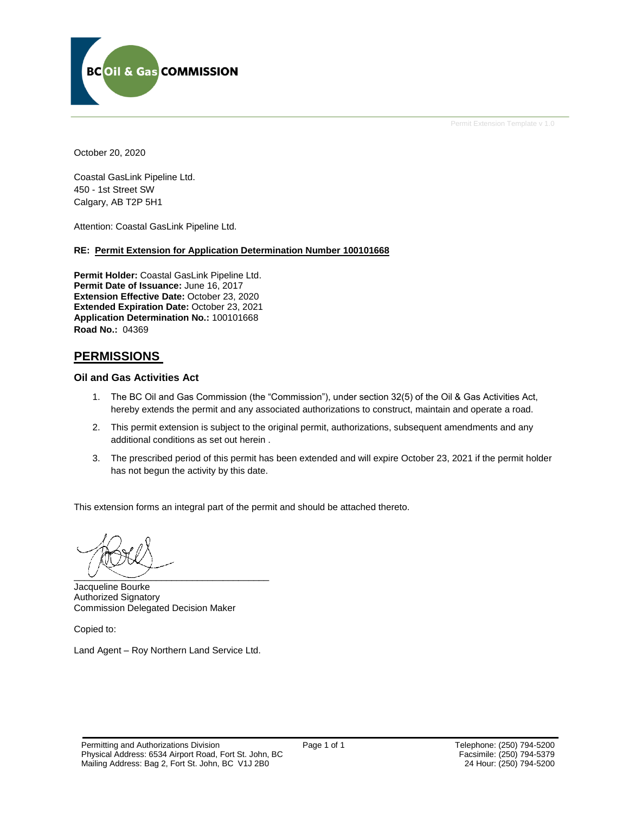

October 20, 2020

Coastal GasLink Pipeline Ltd. 450 - 1st Street SW Calgary, AB T2P 5H1

Attention: Coastal GasLink Pipeline Ltd.

#### **RE: Permit Extension for Application Determination Number 100101668**

**Permit Holder:** Coastal GasLink Pipeline Ltd. **Permit Date of Issuance:** June 16, 2017 **Extension Effective Date:** October 23, 2020 **Extended Expiration Date:** October 23, 2021 **Application Determination No.:** 100101668 **Road No.:** 04369

#### **PERMISSIONS**

#### **Oil and Gas Activities Act**

- 1. The BC Oil and Gas Commission (the "Commission"), under section 32(5) of the Oil & Gas Activities Act, hereby extends the permit and any associated authorizations to construct, maintain and operate a road.
- 2. This permit extension is subject to the original permit, authorizations, subsequent amendments and any additional conditions as set out herein .
- 3. The prescribed period of this permit has been extended and will expire October 23, 2021 if the permit holder has not begun the activity by this date.

This extension forms an integral part of the permit and should be attached thereto.

 $\overline{\phantom{a}}$   $\overline{\phantom{a}}$   $\overline{\phantom{a}}$   $\overline{\phantom{a}}$   $\overline{\phantom{a}}$   $\overline{\phantom{a}}$   $\overline{\phantom{a}}$   $\overline{\phantom{a}}$   $\overline{\phantom{a}}$   $\overline{\phantom{a}}$   $\overline{\phantom{a}}$   $\overline{\phantom{a}}$   $\overline{\phantom{a}}$   $\overline{\phantom{a}}$   $\overline{\phantom{a}}$   $\overline{\phantom{a}}$   $\overline{\phantom{a}}$   $\overline{\phantom{a}}$   $\overline{\$ 

Jacqueline Bourke Authorized Signatory Commission Delegated Decision Maker

Copied to:

Land Agent – Roy Northern Land Service Ltd.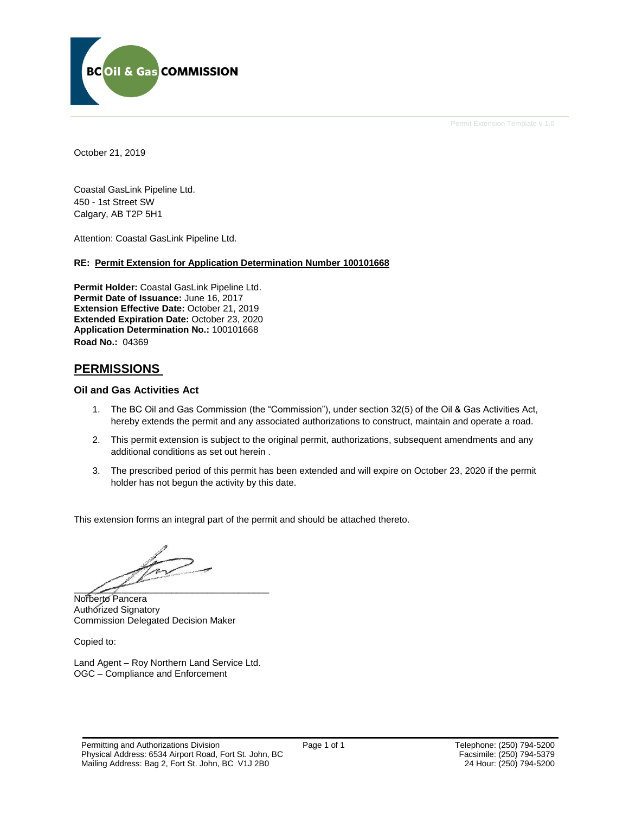

October 21, 2019

Coastal GasLink Pipeline Ltd. 450 - 1st Street SW Calgary, AB T2P 5H1

Attention: Coastal GasLink Pipeline Ltd.

#### **RE: Permit Extension for Application Determination Number 100101668**

**Permit Holder:** Coastal GasLink Pipeline Ltd. **Permit Date of Issuance:** June 16, 2017 **Extension Effective Date:** October 21, 2019 **Extended Expiration Date:** October 23, 2020 **Application Determination No.:** 100101668 **Road No.:** 04369

## **PERMISSIONS**

#### **Oil and Gas Activities Act**

- 1. The BC Oil and Gas Commission (the "Commission"), under section 32(5) of the Oil & Gas Activities Act, hereby extends the permit and any associated authorizations to construct, maintain and operate a road.
- 2. This permit extension is subject to the original permit, authorizations, subsequent amendments and any additional conditions as set out herein .
- 3. The prescribed period of this permit has been extended and will expire on October 23, 2020 if the permit holder has not begun the activity by this date.

This extension forms an integral part of the permit and should be attached thereto.

 $\frac{1}{2}$ 

Norberto Pancera Authorized Signatory Commission Delegated Decision Maker

Copied to:

Land Agent – Roy Northern Land Service Ltd. OGC – Compliance and Enforcement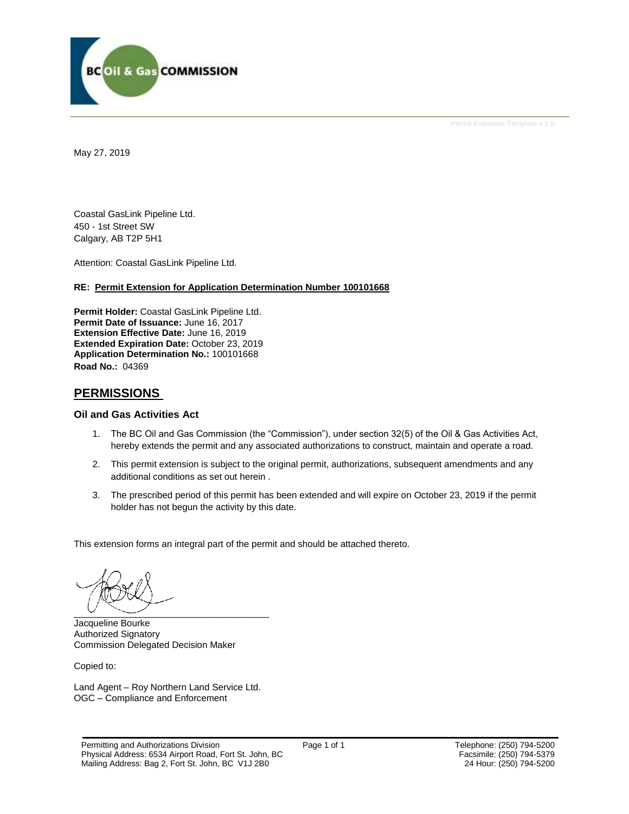

May 27, 2019

Coastal GasLink Pipeline Ltd. 450 - 1st Street SW Calgary, AB T2P 5H1

Attention: Coastal GasLink Pipeline Ltd.

#### **RE: Permit Extension for Application Determination Number 100101668**

**Permit Holder:** Coastal GasLink Pipeline Ltd. **Permit Date of Issuance:** June 16, 2017 **Extension Effective Date:** June 16, 2019 **Extended Expiration Date:** October 23, 2019 **Application Determination No.:** 100101668 **Road No.:** 04369

## **PERMISSIONS**

#### **Oil and Gas Activities Act**

- 1. The BC Oil and Gas Commission (the "Commission"), under section 32(5) of the Oil & Gas Activities Act, hereby extends the permit and any associated authorizations to construct, maintain and operate a road.
- 2. This permit extension is subject to the original permit, authorizations, subsequent amendments and any additional conditions as set out herein .
- 3. The prescribed period of this permit has been extended and will expire on October 23, 2019 if the permit holder has not begun the activity by this date.

This extension forms an integral part of the permit and should be attached thereto.

 $\overline{\phantom{a}}$   $\overline{\phantom{a}}$   $\overline{\phantom{a}}$   $\overline{\phantom{a}}$   $\overline{\phantom{a}}$   $\overline{\phantom{a}}$   $\overline{\phantom{a}}$   $\overline{\phantom{a}}$   $\overline{\phantom{a}}$   $\overline{\phantom{a}}$   $\overline{\phantom{a}}$   $\overline{\phantom{a}}$   $\overline{\phantom{a}}$   $\overline{\phantom{a}}$   $\overline{\phantom{a}}$   $\overline{\phantom{a}}$   $\overline{\phantom{a}}$   $\overline{\phantom{a}}$   $\overline{\$ 

Jacqueline Bourke Authorized Signatory Commission Delegated Decision Maker

Copied to:

Land Agent – Roy Northern Land Service Ltd. OGC – Compliance and Enforcement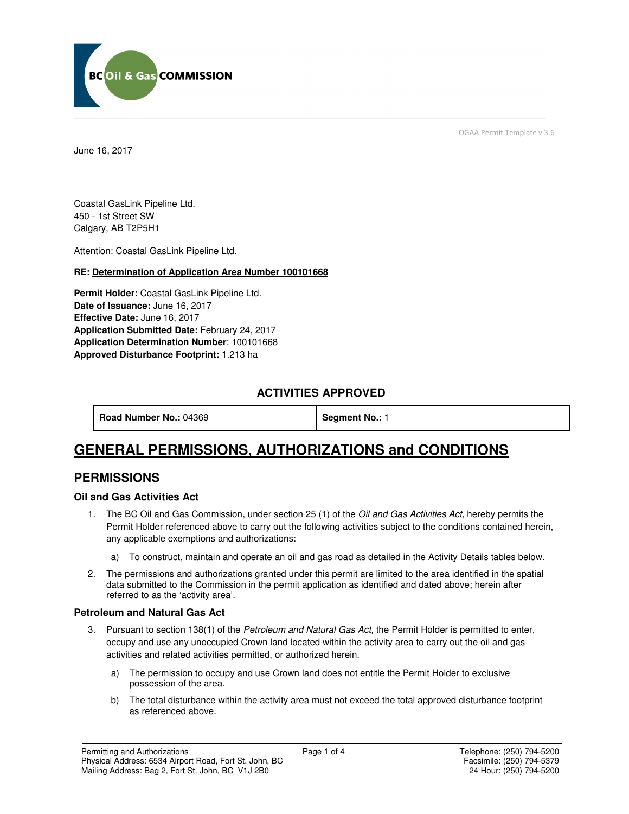

June 16, 2017

OGAA Permit Template v 3.6

Coastal GasLink Pipeline Ltd. 450 - 1st Street SW Calgary, AB T2P5H1

Attention: Coastal GasLink Pipeline Ltd.

#### **RE: Determination of Application Area Number 100101668**

**Permit Holder:** Coastal GasLink Pipeline Ltd. **Date of Issuance:** June 16, 2017 **Effective Date:** June 16, 2017 **Application Submitted Date:** February 24, 2017 **Application Determination Number**: 100101668 **Approved Disturbance Footprint:** 1.213 ha

## **ACTIVITIES APPROVED**

**Road Number No.: 04369 <b>Segment No.: 1** 

## **GENERAL PERMISSIONS, AUTHORIZATIONS and CONDITIONS**

## **PERMISSIONS**

#### **Oil and Gas Activities Act**

- 1. The BC Oil and Gas Commission, under section 25 (1) of the Oil and Gas Activities Act, hereby permits the Permit Holder referenced above to carry out the following activities subject to the conditions contained herein, any applicable exemptions and authorizations:
	- a) To construct, maintain and operate an oil and gas road as detailed in the Activity Details tables below.
- 2. The permissions and authorizations granted under this permit are limited to the area identified in the spatial data submitted to the Commission in the permit application as identified and dated above; herein after referred to as the 'activity area'.

#### **Petroleum and Natural Gas Act**

- 3. Pursuant to section 138(1) of the Petroleum and Natural Gas Act, the Permit Holder is permitted to enter, occupy and use any unoccupied Crown land located within the activity area to carry out the oil and gas activities and related activities permitted, or authorized herein.
	- a) The permission to occupy and use Crown land does not entitle the Permit Holder to exclusive possession of the area.
	- b) The total disturbance within the activity area must not exceed the total approved disturbance footprint as referenced above.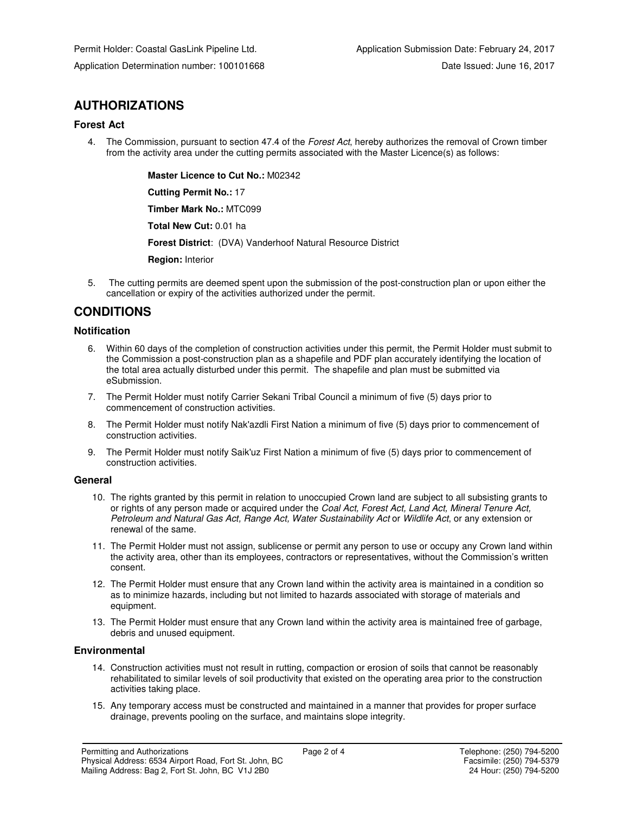## **AUTHORIZATIONS**

#### **Forest Act**

4. The Commission, pursuant to section 47.4 of the Forest Act, hereby authorizes the removal of Crown timber from the activity area under the cutting permits associated with the Master Licence(s) as follows:

 **Master Licence to Cut No.:** M02342

 **Cutting Permit No.:** 17

 **Timber Mark No.:** MTC099

 **Total New Cut:** 0.01 ha

 **Forest District**: (DVA) Vanderhoof Natural Resource District

 **Region:** Interior

5. The cutting permits are deemed spent upon the submission of the post-construction plan or upon either the cancellation or expiry of the activities authorized under the permit.

## **CONDITIONS**

#### **Notification**

- 6. Within 60 days of the completion of construction activities under this permit, the Permit Holder must submit to the Commission a post-construction plan as a shapefile and PDF plan accurately identifying the location of the total area actually disturbed under this permit. The shapefile and plan must be submitted via eSubmission.
- 7. The Permit Holder must notify Carrier Sekani Tribal Council a minimum of five (5) days prior to commencement of construction activities.
- 8. The Permit Holder must notify Nak'azdli First Nation a minimum of five (5) days prior to commencement of construction activities.
- 9. The Permit Holder must notify Saik'uz First Nation a minimum of five (5) days prior to commencement of construction activities.

#### **General**

- 10. The rights granted by this permit in relation to unoccupied Crown land are subject to all subsisting grants to or rights of any person made or acquired under the Coal Act, Forest Act, Land Act, Mineral Tenure Act, Petroleum and Natural Gas Act, Range Act, Water Sustainability Act or Wildlife Act, or any extension or renewal of the same.
- 11. The Permit Holder must not assign, sublicense or permit any person to use or occupy any Crown land within the activity area, other than its employees, contractors or representatives, without the Commission's written consent.
- 12. The Permit Holder must ensure that any Crown land within the activity area is maintained in a condition so as to minimize hazards, including but not limited to hazards associated with storage of materials and equipment.
- 13. The Permit Holder must ensure that any Crown land within the activity area is maintained free of garbage, debris and unused equipment.

#### **Environmental**

- 14. Construction activities must not result in rutting, compaction or erosion of soils that cannot be reasonably rehabilitated to similar levels of soil productivity that existed on the operating area prior to the construction activities taking place.
- 15. Any temporary access must be constructed and maintained in a manner that provides for proper surface drainage, prevents pooling on the surface, and maintains slope integrity.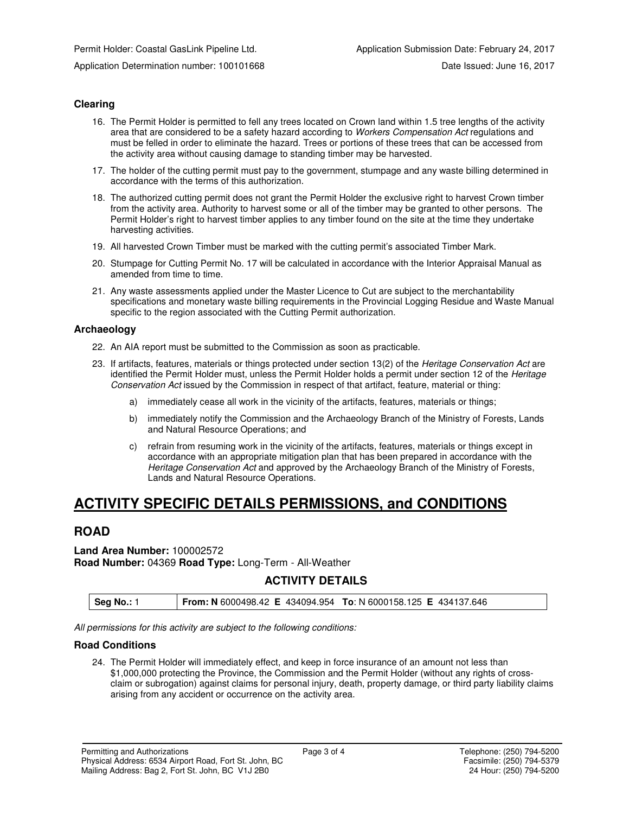#### **Clearing**

- 16. The Permit Holder is permitted to fell any trees located on Crown land within 1.5 tree lengths of the activity area that are considered to be a safety hazard according to Workers Compensation Act regulations and must be felled in order to eliminate the hazard. Trees or portions of these trees that can be accessed from the activity area without causing damage to standing timber may be harvested.
- 17. The holder of the cutting permit must pay to the government, stumpage and any waste billing determined in accordance with the terms of this authorization.
- 18. The authorized cutting permit does not grant the Permit Holder the exclusive right to harvest Crown timber from the activity area. Authority to harvest some or all of the timber may be granted to other persons. The Permit Holder's right to harvest timber applies to any timber found on the site at the time they undertake harvesting activities.
- 19. All harvested Crown Timber must be marked with the cutting permit's associated Timber Mark.
- 20. Stumpage for Cutting Permit No. 17 will be calculated in accordance with the Interior Appraisal Manual as amended from time to time.
- 21. Any waste assessments applied under the Master Licence to Cut are subject to the merchantability specifications and monetary waste billing requirements in the Provincial Logging Residue and Waste Manual specific to the region associated with the Cutting Permit authorization.

#### **Archaeology**

- 22. An AIA report must be submitted to the Commission as soon as practicable.
- 23. If artifacts, features, materials or things protected under section 13(2) of the Heritage Conservation Act are identified the Permit Holder must, unless the Permit Holder holds a permit under section 12 of the Heritage Conservation Act issued by the Commission in respect of that artifact, feature, material or thing:
	- a) immediately cease all work in the vicinity of the artifacts, features, materials or things;
	- b) immediately notify the Commission and the Archaeology Branch of the Ministry of Forests, Lands and Natural Resource Operations; and
	- c) refrain from resuming work in the vicinity of the artifacts, features, materials or things except in accordance with an appropriate mitigation plan that has been prepared in accordance with the Heritage Conservation Act and approved by the Archaeology Branch of the Ministry of Forests, Lands and Natural Resource Operations.

## **ACTIVITY SPECIFIC DETAILS PERMISSIONS, and CONDITIONS**

## **ROAD**

**Land Area Number:** 100002572 **Road Number:** 04369 **Road Type:** Long-Term - All-Weather

## **ACTIVITY DETAILS**

All permissions for this activity are subject to the following conditions:

#### **Road Conditions**

24. The Permit Holder will immediately effect, and keep in force insurance of an amount not less than \$1,000,000 protecting the Province, the Commission and the Permit Holder (without any rights of crossclaim or subrogation) against claims for personal injury, death, property damage, or third party liability claims arising from any accident or occurrence on the activity area.